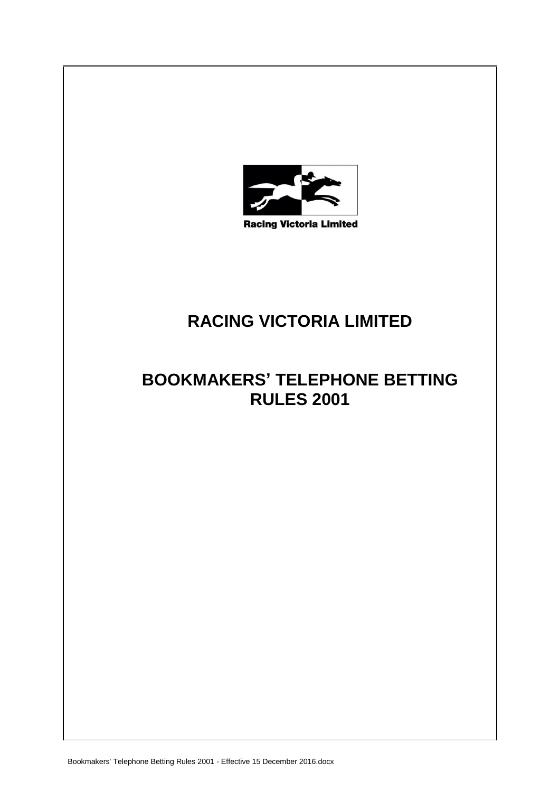

# **RACING VICTORIA LIMITED**

# **BOOKMAKERS' TELEPHONE BETTING RULES 2001**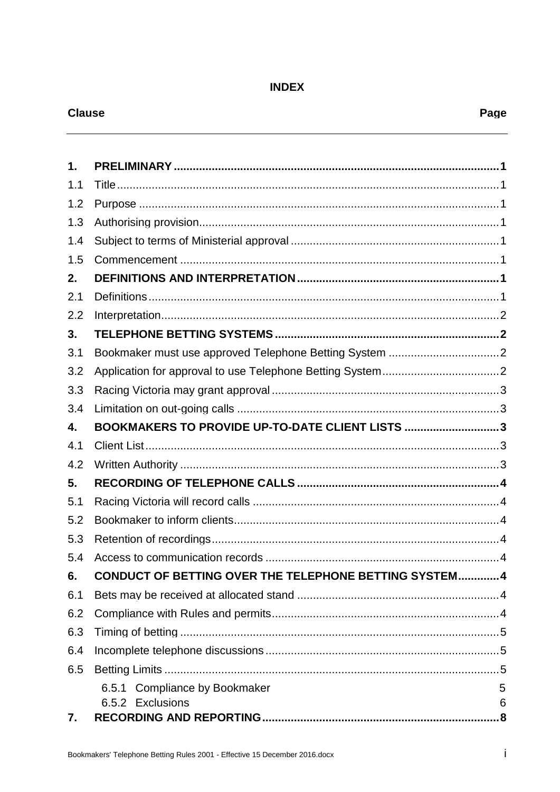# **INDEX**

# **Clause**

| 1.  |                                                        |    |  |
|-----|--------------------------------------------------------|----|--|
| 1.1 |                                                        |    |  |
| 1.2 |                                                        |    |  |
| 1.3 |                                                        |    |  |
| 1.4 |                                                        |    |  |
| 1.5 |                                                        |    |  |
| 2.  |                                                        |    |  |
| 2.1 |                                                        |    |  |
| 2.2 |                                                        |    |  |
| 3.  |                                                        |    |  |
| 3.1 |                                                        |    |  |
| 3.2 |                                                        |    |  |
| 3.3 |                                                        |    |  |
| 3.4 |                                                        |    |  |
| 4.  | BOOKMAKERS TO PROVIDE UP-TO-DATE CLIENT LISTS 3        |    |  |
| 4.1 |                                                        |    |  |
| 4.2 |                                                        |    |  |
| 5.  |                                                        |    |  |
| 5.1 |                                                        |    |  |
| 5.2 |                                                        |    |  |
| 5.3 |                                                        |    |  |
| 5.4 |                                                        |    |  |
| 6.  | CONDUCT OF BETTING OVER THE TELEPHONE BETTING SYSTEM 4 |    |  |
| 6.1 |                                                        |    |  |
| 6.2 |                                                        |    |  |
| 6.3 |                                                        |    |  |
| 6.4 |                                                        |    |  |
| 6.5 |                                                        |    |  |
|     | 6.5.1 Compliance by Bookmaker                          | 5  |  |
|     | 6.5.2 Exclusions                                       | 6  |  |
| 7.  |                                                        | .8 |  |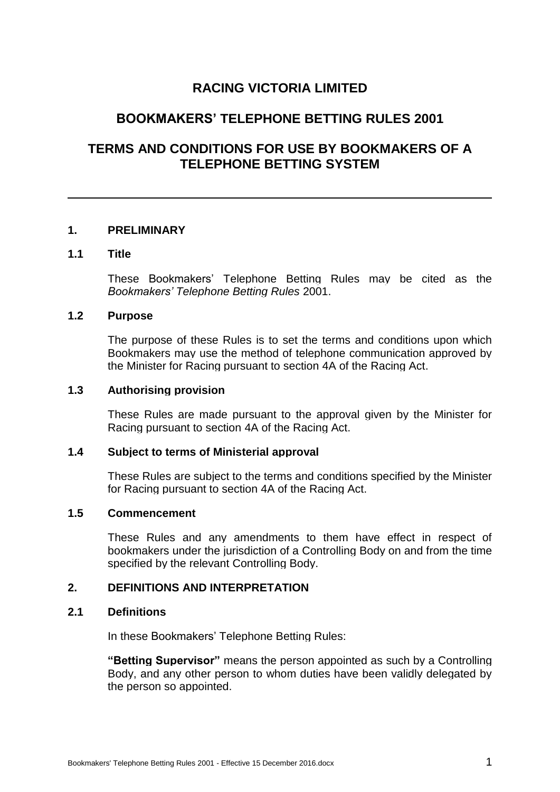# **RACING VICTORIA LIMITED**

# **BOOKMAKERS' TELEPHONE BETTING RULES 2001**

# **TERMS AND CONDITIONS FOR USE BY BOOKMAKERS OF A TELEPHONE BETTING SYSTEM**

#### **1. PRELIMINARY**

#### **1.1 Title**

These Bookmakers' Telephone Betting Rules may be cited as the *Bookmakers' Telephone Betting Rules* 2001.

## **1.2 Purpose**

The purpose of these Rules is to set the terms and conditions upon which Bookmakers may use the method of telephone communication approved by the Minister for Racing pursuant to section 4A of the Racing Act.

#### **1.3 Authorising provision**

These Rules are made pursuant to the approval given by the Minister for Racing pursuant to section 4A of the Racing Act.

# **1.4 Subject to terms of Ministerial approval**

These Rules are subject to the terms and conditions specified by the Minister for Racing pursuant to section 4A of the Racing Act.

#### **1.5 Commencement**

These Rules and any amendments to them have effect in respect of bookmakers under the jurisdiction of a Controlling Body on and from the time specified by the relevant Controlling Body.

#### **2. DEFINITIONS AND INTERPRETATION**

## **2.1 Definitions**

In these Bookmakers' Telephone Betting Rules:

**"Betting Supervisor"** means the person appointed as such by a Controlling Body, and any other person to whom duties have been validly delegated by the person so appointed.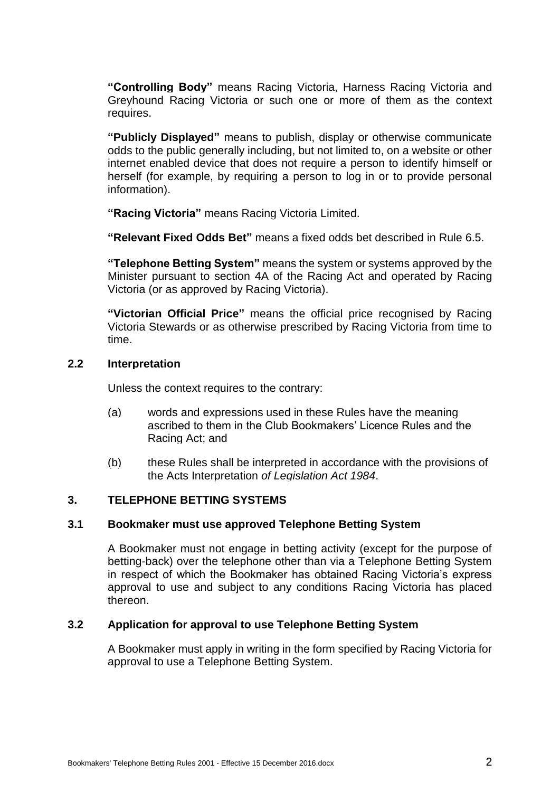**"Controlling Body"** means Racing Victoria, Harness Racing Victoria and Greyhound Racing Victoria or such one or more of them as the context requires.

**"Publicly Displayed"** means to publish, display or otherwise communicate odds to the public generally including, but not limited to, on a website or other internet enabled device that does not require a person to identify himself or herself (for example, by requiring a person to log in or to provide personal information).

**"Racing Victoria"** means Racing Victoria Limited.

**"Relevant Fixed Odds Bet"** means a fixed odds bet described in Rule 6.5.

**"Telephone Betting System"** means the system or systems approved by the Minister pursuant to section 4A of the Racing Act and operated by Racing Victoria (or as approved by Racing Victoria).

**"Victorian Official Price"** means the official price recognised by Racing Victoria Stewards or as otherwise prescribed by Racing Victoria from time to time.

### **2.2 Interpretation**

Unless the context requires to the contrary:

- (a) words and expressions used in these Rules have the meaning ascribed to them in the Club Bookmakers' Licence Rules and the Racing Act; and
- (b) these Rules shall be interpreted in accordance with the provisions of the Acts Interpretation *of Legislation Act 1984*.

# **3. TELEPHONE BETTING SYSTEMS**

# **3.1 Bookmaker must use approved Telephone Betting System**

A Bookmaker must not engage in betting activity (except for the purpose of betting-back) over the telephone other than via a Telephone Betting System in respect of which the Bookmaker has obtained Racing Victoria's express approval to use and subject to any conditions Racing Victoria has placed thereon.

# **3.2 Application for approval to use Telephone Betting System**

A Bookmaker must apply in writing in the form specified by Racing Victoria for approval to use a Telephone Betting System.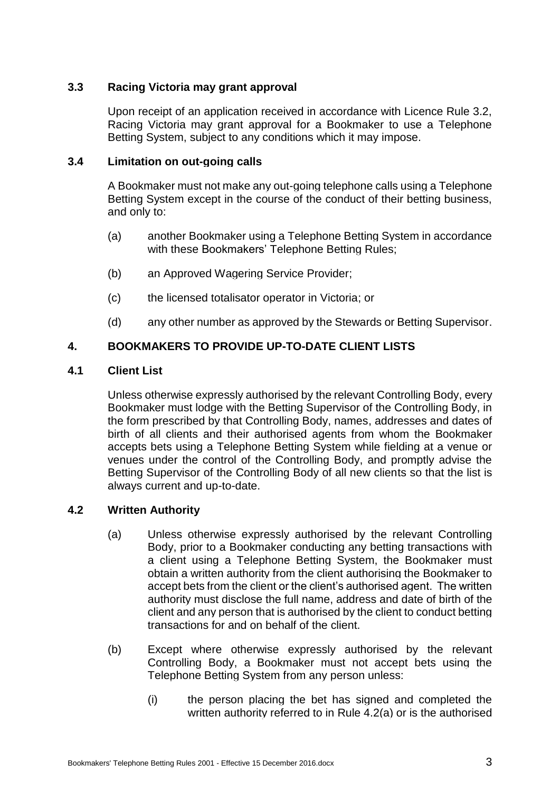# **3.3 Racing Victoria may grant approval**

Upon receipt of an application received in accordance with Licence Rule 3.2, Racing Victoria may grant approval for a Bookmaker to use a Telephone Betting System, subject to any conditions which it may impose.

## **3.4 Limitation on out-going calls**

A Bookmaker must not make any out-going telephone calls using a Telephone Betting System except in the course of the conduct of their betting business, and only to:

- (a) another Bookmaker using a Telephone Betting System in accordance with these Bookmakers' Telephone Betting Rules;
- (b) an Approved Wagering Service Provider;
- (c) the licensed totalisator operator in Victoria; or
- (d) any other number as approved by the Stewards or Betting Supervisor.

# **4. BOOKMAKERS TO PROVIDE UP-TO-DATE CLIENT LISTS**

# **4.1 Client List**

Unless otherwise expressly authorised by the relevant Controlling Body, every Bookmaker must lodge with the Betting Supervisor of the Controlling Body, in the form prescribed by that Controlling Body, names, addresses and dates of birth of all clients and their authorised agents from whom the Bookmaker accepts bets using a Telephone Betting System while fielding at a venue or venues under the control of the Controlling Body, and promptly advise the Betting Supervisor of the Controlling Body of all new clients so that the list is always current and up-to-date.

# <span id="page-5-0"></span>**4.2 Written Authority**

- (a) Unless otherwise expressly authorised by the relevant Controlling Body, prior to a Bookmaker conducting any betting transactions with a client using a Telephone Betting System, the Bookmaker must obtain a written authority from the client authorising the Bookmaker to accept bets from the client or the client's authorised agent. The written authority must disclose the full name, address and date of birth of the client and any person that is authorised by the client to conduct betting transactions for and on behalf of the client.
- (b) Except where otherwise expressly authorised by the relevant Controlling Body, a Bookmaker must not accept bets using the Telephone Betting System from any person unless:
	- (i) the person placing the bet has signed and completed the written authority referred to in Rule [4.2\(a\)](#page-5-0) or is the authorised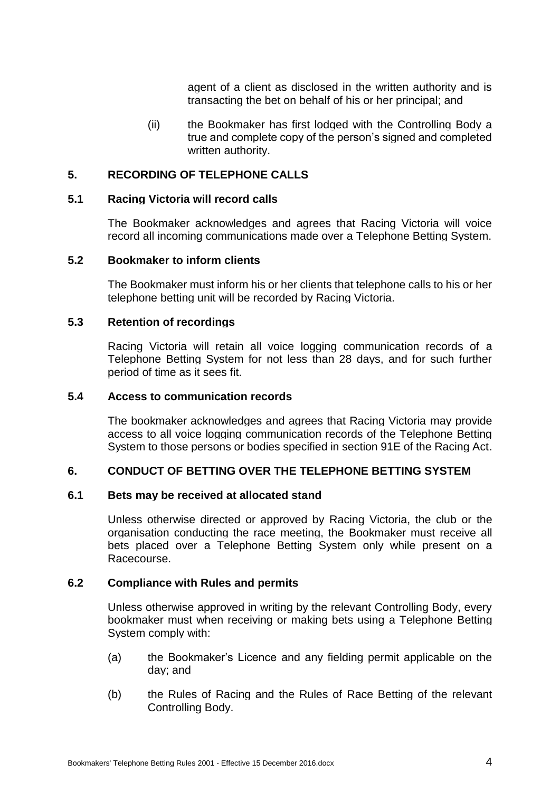agent of a client as disclosed in the written authority and is transacting the bet on behalf of his or her principal; and

(ii) the Bookmaker has first lodged with the Controlling Body a true and complete copy of the person's signed and completed written authority.

### **5. RECORDING OF TELEPHONE CALLS**

#### **5.1 Racing Victoria will record calls**

The Bookmaker acknowledges and agrees that Racing Victoria will voice record all incoming communications made over a Telephone Betting System.

#### **5.2 Bookmaker to inform clients**

The Bookmaker must inform his or her clients that telephone calls to his or her telephone betting unit will be recorded by Racing Victoria.

#### **5.3 Retention of recordings**

Racing Victoria will retain all voice logging communication records of a Telephone Betting System for not less than 28 days, and for such further period of time as it sees fit.

#### **5.4 Access to communication records**

The bookmaker acknowledges and agrees that Racing Victoria may provide access to all voice logging communication records of the Telephone Betting System to those persons or bodies specified in section 91E of the Racing Act.

#### **6. CONDUCT OF BETTING OVER THE TELEPHONE BETTING SYSTEM**

#### **6.1 Bets may be received at allocated stand**

Unless otherwise directed or approved by Racing Victoria, the club or the organisation conducting the race meeting, the Bookmaker must receive all bets placed over a Telephone Betting System only while present on a Racecourse.

#### **6.2 Compliance with Rules and permits**

Unless otherwise approved in writing by the relevant Controlling Body, every bookmaker must when receiving or making bets using a Telephone Betting System comply with:

- (a) the Bookmaker's Licence and any fielding permit applicable on the day; and
- (b) the Rules of Racing and the Rules of Race Betting of the relevant Controlling Body.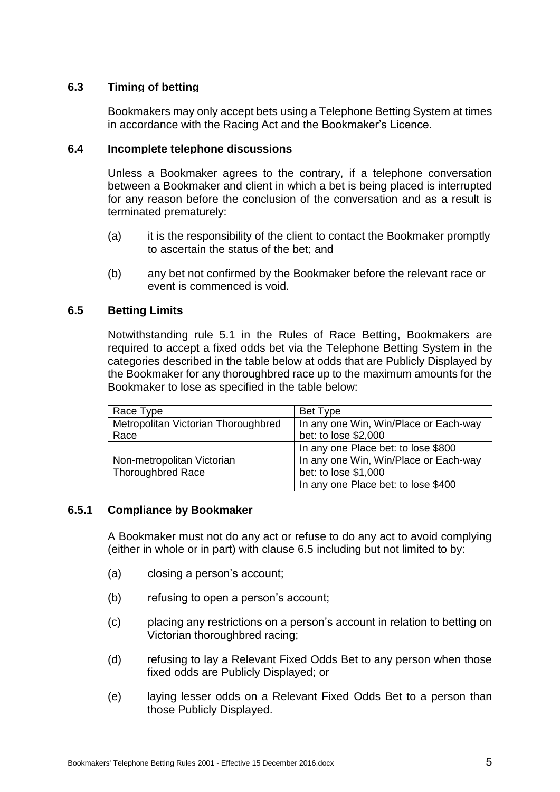# **6.3 Timing of betting**

Bookmakers may only accept bets using a Telephone Betting System at times in accordance with the Racing Act and the Bookmaker's Licence.

## **6.4 Incomplete telephone discussions**

Unless a Bookmaker agrees to the contrary, if a telephone conversation between a Bookmaker and client in which a bet is being placed is interrupted for any reason before the conclusion of the conversation and as a result is terminated prematurely:

- (a) it is the responsibility of the client to contact the Bookmaker promptly to ascertain the status of the bet; and
- (b) any bet not confirmed by the Bookmaker before the relevant race or event is commenced is void.

### **6.5 Betting Limits**

Notwithstanding rule 5.1 in the Rules of Race Betting, Bookmakers are required to accept a fixed odds bet via the Telephone Betting System in the categories described in the table below at odds that are Publicly Displayed by the Bookmaker for any thoroughbred race up to the maximum amounts for the Bookmaker to lose as specified in the table below:

| Race Type                           | Bet Type                              |
|-------------------------------------|---------------------------------------|
| Metropolitan Victorian Thoroughbred | In any one Win, Win/Place or Each-way |
| Race                                | bet: to lose \$2,000                  |
|                                     | In any one Place bet: to lose \$800   |
| Non-metropolitan Victorian          | In any one Win, Win/Place or Each-way |
| <b>Thoroughbred Race</b>            | bet: to lose \$1,000                  |
|                                     | In any one Place bet: to lose \$400   |

# **6.5.1 Compliance by Bookmaker**

A Bookmaker must not do any act or refuse to do any act to avoid complying (either in whole or in part) with clause 6.5 including but not limited to by:

- (a) closing a person's account;
- (b) refusing to open a person's account;
- (c) placing any restrictions on a person's account in relation to betting on Victorian thoroughbred racing;
- (d) refusing to lay a Relevant Fixed Odds Bet to any person when those fixed odds are Publicly Displayed; or
- (e) laying lesser odds on a Relevant Fixed Odds Bet to a person than those Publicly Displayed.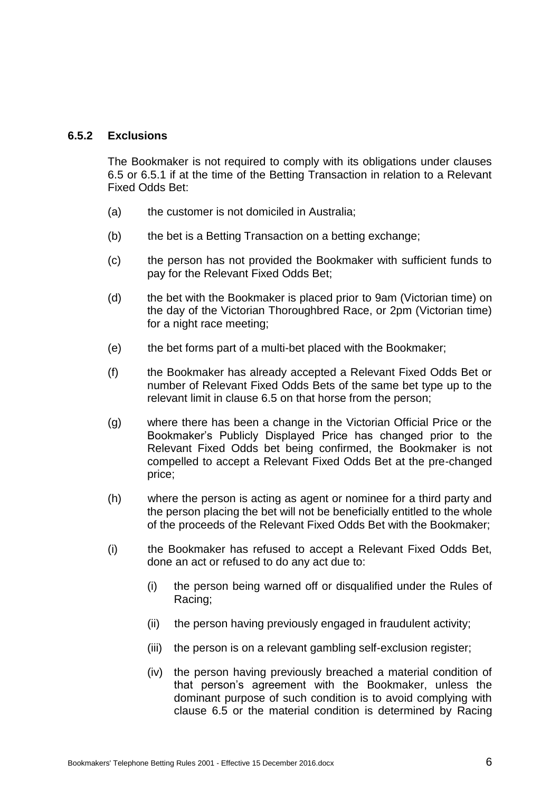## **6.5.2 Exclusions**

The Bookmaker is not required to comply with its obligations under clauses 6.5 or 6.5.1 if at the time of the Betting Transaction in relation to a Relevant Fixed Odds Bet:

- (a) the customer is not domiciled in Australia;
- (b) the bet is a Betting Transaction on a betting exchange;
- (c) the person has not provided the Bookmaker with sufficient funds to pay for the Relevant Fixed Odds Bet;
- (d) the bet with the Bookmaker is placed prior to 9am (Victorian time) on the day of the Victorian Thoroughbred Race, or 2pm (Victorian time) for a night race meeting;
- (e) the bet forms part of a multi-bet placed with the Bookmaker;
- (f) the Bookmaker has already accepted a Relevant Fixed Odds Bet or number of Relevant Fixed Odds Bets of the same bet type up to the relevant limit in clause 6.5 on that horse from the person;
- (g) where there has been a change in the Victorian Official Price or the Bookmaker's Publicly Displayed Price has changed prior to the Relevant Fixed Odds bet being confirmed, the Bookmaker is not compelled to accept a Relevant Fixed Odds Bet at the pre-changed price;
- (h) where the person is acting as agent or nominee for a third party and the person placing the bet will not be beneficially entitled to the whole of the proceeds of the Relevant Fixed Odds Bet with the Bookmaker;
- (i) the Bookmaker has refused to accept a Relevant Fixed Odds Bet, done an act or refused to do any act due to:
	- (i) the person being warned off or disqualified under the Rules of Racing;
	- (ii) the person having previously engaged in fraudulent activity;
	- (iii) the person is on a relevant gambling self-exclusion register;
	- (iv) the person having previously breached a material condition of that person's agreement with the Bookmaker, unless the dominant purpose of such condition is to avoid complying with clause 6.5 or the material condition is determined by Racing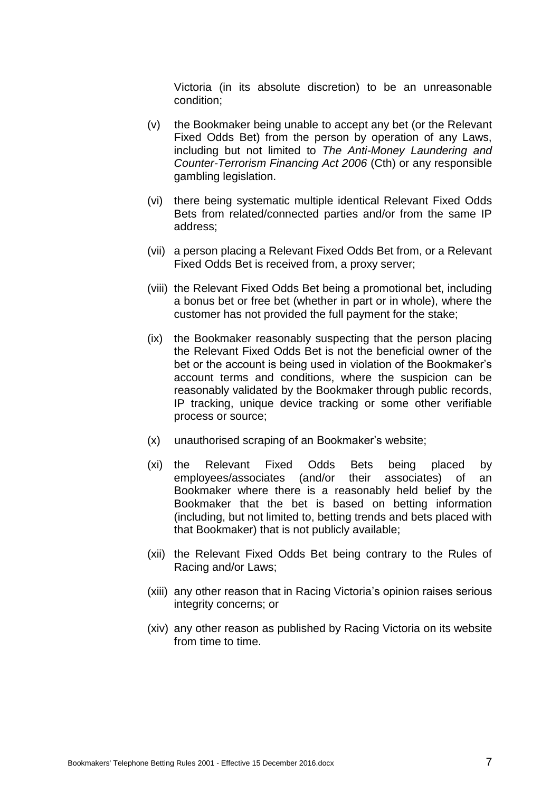Victoria (in its absolute discretion) to be an unreasonable condition;

- (v) the Bookmaker being unable to accept any bet (or the Relevant Fixed Odds Bet) from the person by operation of any Laws, including but not limited to *The Anti-Money Laundering and Counter-Terrorism Financing Act 2006* (Cth) or any responsible gambling legislation.
- (vi) there being systematic multiple identical Relevant Fixed Odds Bets from related/connected parties and/or from the same IP address;
- (vii) a person placing a Relevant Fixed Odds Bet from, or a Relevant Fixed Odds Bet is received from, a proxy server;
- (viii) the Relevant Fixed Odds Bet being a promotional bet, including a bonus bet or free bet (whether in part or in whole), where the customer has not provided the full payment for the stake;
- (ix) the Bookmaker reasonably suspecting that the person placing the Relevant Fixed Odds Bet is not the beneficial owner of the bet or the account is being used in violation of the Bookmaker's account terms and conditions, where the suspicion can be reasonably validated by the Bookmaker through public records, IP tracking, unique device tracking or some other verifiable process or source;
- (x) unauthorised scraping of an Bookmaker's website;
- (xi) the Relevant Fixed Odds Bets being placed by employees/associates (and/or their associates) of an Bookmaker where there is a reasonably held belief by the Bookmaker that the bet is based on betting information (including, but not limited to, betting trends and bets placed with that Bookmaker) that is not publicly available;
- (xii) the Relevant Fixed Odds Bet being contrary to the Rules of Racing and/or Laws;
- (xiii) any other reason that in Racing Victoria's opinion raises serious integrity concerns; or
- (xiv) any other reason as published by Racing Victoria on its website from time to time.